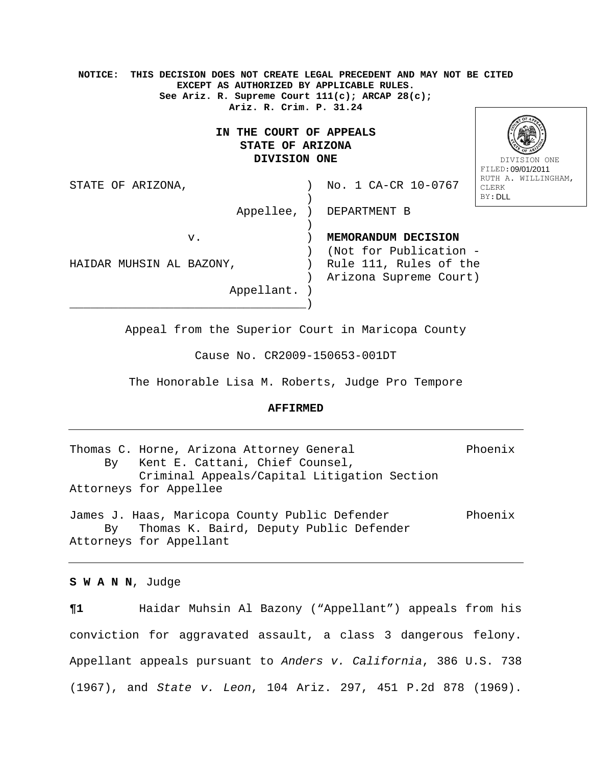**NOTICE: THIS DECISION DOES NOT CREATE LEGAL PRECEDENT AND MAY NOT BE CITED EXCEPT AS AUTHORIZED BY APPLICABLE RULES. See Ariz. R. Supreme Court 111(c); ARCAP 28(c); Ariz. R. Crim. P. 31.24 IN THE COURT OF APPEALS STATE OF ARIZONA DIVISION ONE**  STATE OF ARIZONA,  $\sim$  ) No. 1 CA-CR 10-0767 ) and the contract of  $\mathcal{L}$  Appellee, ) DEPARTMENT B ) and the contract of  $\mathcal{L}$  v. ) **MEMORANDUM DECISION**  ) (Not for Publication - HAIDAR MUHSIN AL BAZONY, ) Rule 111, Rules of the ) Arizona Supreme Court) Appellant. ) \_\_\_\_\_\_\_\_\_\_\_\_\_\_\_\_\_\_\_\_\_\_\_\_\_\_\_\_\_\_\_\_\_\_) DIVISION ONE FILED: 09/01/2011 RUTH A. WILLINGHAM, CLERK BY: DLL

Appeal from the Superior Court in Maricopa County

Cause No. CR2009-150653-001DT

The Honorable Lisa M. Roberts, Judge Pro Tempore

## **AFFIRMED**

Thomas C. Horne, Arizona Attorney General Phoenix By Kent E. Cattani, Chief Counsel, Criminal Appeals/Capital Litigation Section Attorneys for Appellee James J. Haas, Maricopa County Public Defender Phoenix By Thomas K. Baird, Deputy Public Defender

Attorneys for Appellant

**S W A N N**, Judge

**¶1** Haidar Muhsin Al Bazony ("Appellant") appeals from his conviction for aggravated assault, a class 3 dangerous felony. Appellant appeals pursuant to *Anders v. California*, 386 U.S. 738 (1967), and *State v. Leon*, 104 Ariz. 297, 451 P.2d 878 (1969).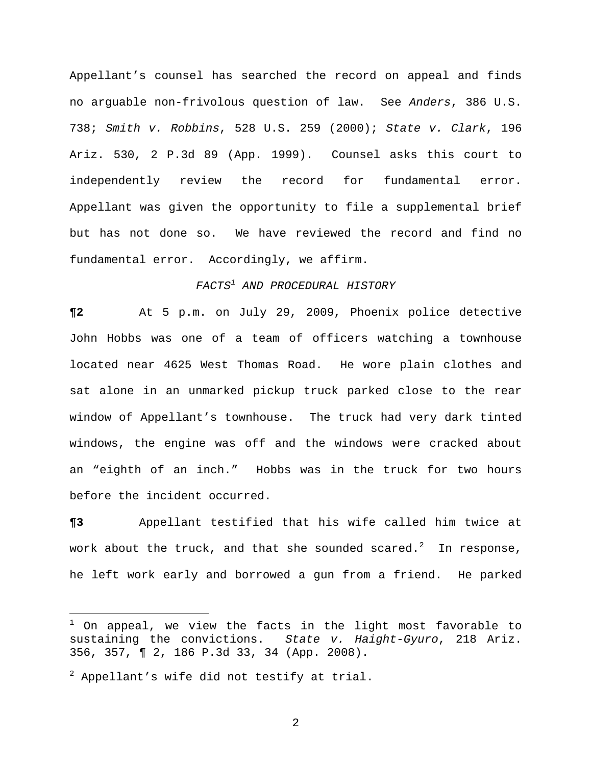Appellant's counsel has searched the record on appeal and finds no arguable non-frivolous question of law. See *Anders*, 386 U.S. 738; *Smith v. Robbins*, 528 U.S. 259 (2000); *State v. Clark*, 196 Ariz. 530, 2 P.3d 89 (App. 1999). Counsel asks this court to independently review the record for fundamental error. Appellant was given the opportunity to file a supplemental brief but has not done so. We have reviewed the record and find no fundamental error. Accordingly, we affirm.

## *FACTS<sup>1</sup> AND PROCEDURAL HISTORY*

**¶2** At 5 p.m. on July 29, 2009, Phoenix police detective John Hobbs was one of a team of officers watching a townhouse located near 4625 West Thomas Road. He wore plain clothes and sat alone in an unmarked pickup truck parked close to the rear window of Appellant's townhouse. The truck had very dark tinted windows, the engine was off and the windows were cracked about an "eighth of an inch." Hobbs was in the truck for two hours before the incident occurred.

**¶3** Appellant testified that his wife called him twice at work about the truck, and that she sounded scared. $^2$  In response, he left work early and borrowed a gun from a friend. He parked

i

 $^1$  On appeal, we view the facts in the light most favorable to sustaining the convictions. *State v. Haight-Gyuro*, 218 Ariz. 356, 357, ¶ 2, 186 P.3d 33, 34 (App. 2008).

 $^2$  Appellant's wife did not testify at trial.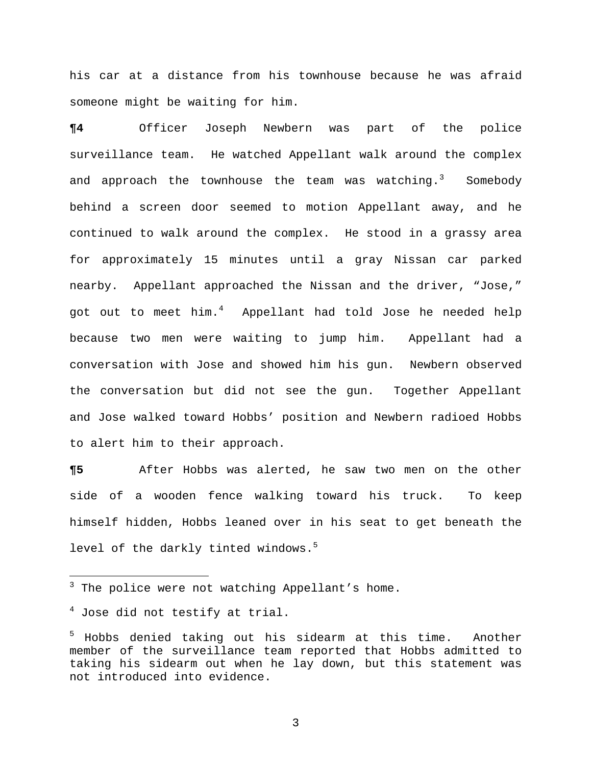his car at a distance from his townhouse because he was afraid someone might be waiting for him.

**¶4** Officer Joseph Newbern was part of the police surveillance team. He watched Appellant walk around the complex and approach the townhouse the team was watching. $^3$  Somebody behind a screen door seemed to motion Appellant away, and he continued to walk around the complex. He stood in a grassy area for approximately 15 minutes until a gray Nissan car parked nearby. Appellant approached the Nissan and the driver, "Jose," got out to meet him.<sup>4</sup> Appellant had told Jose he needed help because two men were waiting to jump him.Appellant had a conversation with Jose and showed him his gun. Newbern observed the conversation but did not see the gun. Together Appellant and Jose walked toward Hobbs' position and Newbern radioed Hobbs to alert him to their approach.

**¶5** After Hobbs was alerted, he saw two men on the other side of a wooden fence walking toward his truck. To keep himself hidden, Hobbs leaned over in his seat to get beneath the level of the darkly tinted windows.<sup>5</sup>

 3 The police were not watching Appellant's home.

 $^4$  Jose did not testify at trial.

<sup>5</sup> Hobbs denied taking out his sidearm at this time.Another member of the surveillance team reported that Hobbs admitted to taking his sidearm out when he lay down, but this statement was not introduced into evidence.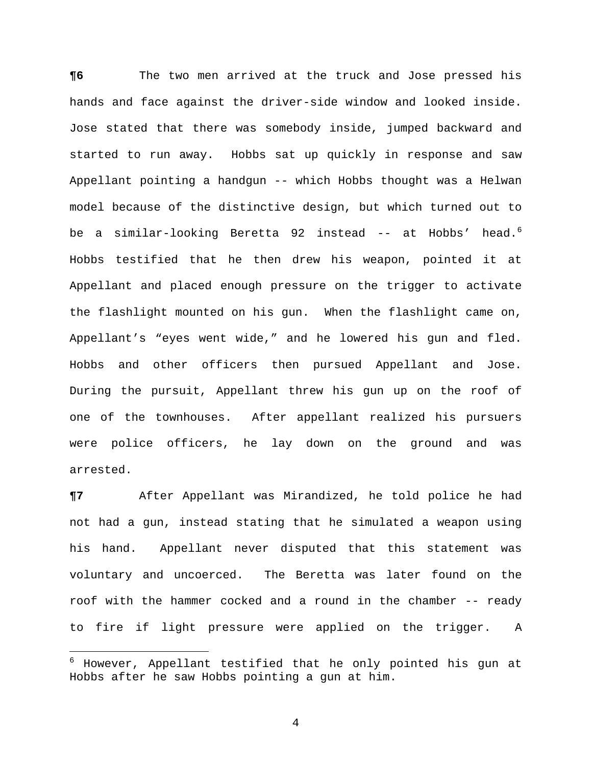**¶6** The two men arrived at the truck and Jose pressed his hands and face against the driver-side window and looked inside. Jose stated that there was somebody inside, jumped backward and started to run away. Hobbs sat up quickly in response and saw Appellant pointing a handgun -- which Hobbs thought was a Helwan model because of the distinctive design, but which turned out to be a similar-looking Beretta 92 instead -- at Hobbs' head.<sup>6</sup> Hobbs testified that he then drew his weapon, pointed it at Appellant and placed enough pressure on the trigger to activate the flashlight mounted on his gun.When the flashlight came on, Appellant's "eyes went wide," and he lowered his gun and fled. Hobbs and other officers then pursued Appellant and Jose. During the pursuit, Appellant threw his gun up on the roof of one of the townhouses. After appellant realized his pursuers were police officers, he lay down on the ground and was arrested.

**¶7** After Appellant was Mirandized, he told police he had not had a gun, instead stating that he simulated a weapon using his hand. Appellant never disputed that this statement was voluntary and uncoerced. The Beretta was later found on the roof with the hammer cocked and a round in the chamber -- ready to fire if light pressure were applied on the trigger. A

 $\overline{\phantom{0}}$ 

<sup>6</sup> However, Appellant testified that he only pointed his gun at Hobbs after he saw Hobbs pointing a gun at him.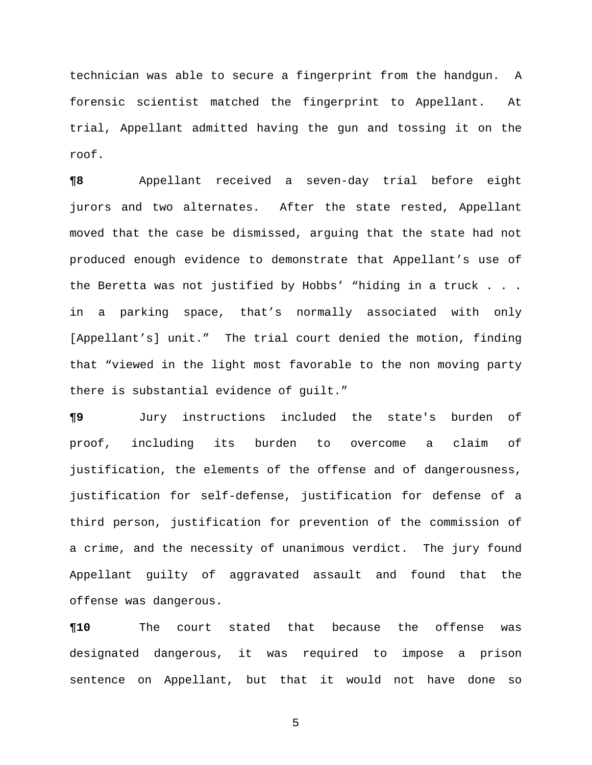technician was able to secure a fingerprint from the handgun. A forensic scientist matched the fingerprint to Appellant. At trial, Appellant admitted having the gun and tossing it on the roof.

**¶8** Appellant received a seven-day trial before eight jurors and two alternates. After the state rested, Appellant moved that the case be dismissed, arguing that the state had not produced enough evidence to demonstrate that Appellant's use of the Beretta was not justified by Hobbs' "hiding in a truck . . . in a parking space, that's normally associated with only [Appellant's] unit." The trial court denied the motion, finding that "viewed in the light most favorable to the non moving party there is substantial evidence of guilt."

**¶9** Jury instructions included the state's burden of proof, including its burden to overcome a claim of justification, the elements of the offense and of dangerousness, justification for self-defense, justification for defense of a third person, justification for prevention of the commission of a crime, and the necessity of unanimous verdict. The jury found Appellant guilty of aggravated assault and found that the offense was dangerous.

**¶10** The court stated that because the offense was designated dangerous, it was required to impose a prison sentence on Appellant, but that it would not have done so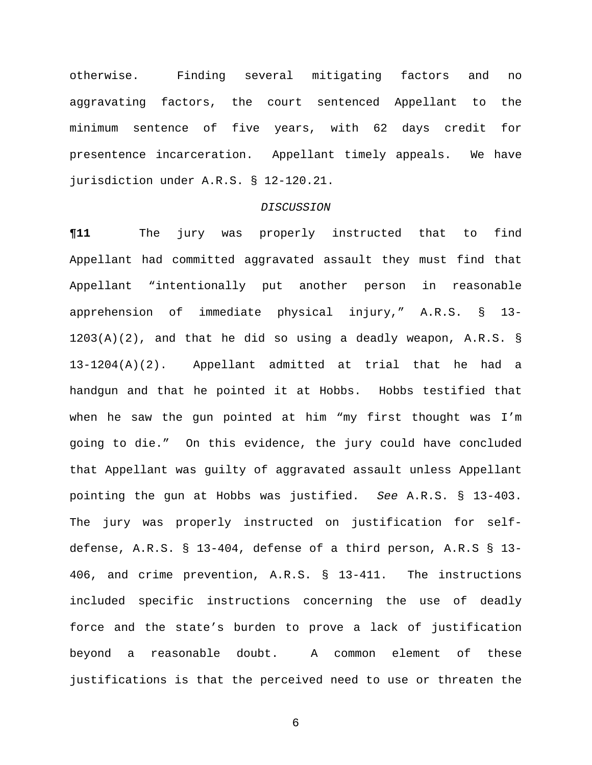otherwise.Finding several mitigating factors and no aggravating factors, the court sentenced Appellant to the minimum sentence of five years, with 62 days credit for presentence incarceration. Appellant timely appeals. We have jurisdiction under A.R.S. § 12-120.21.

## *DISCUSSION*

**¶11** The jury was properly instructed that to find Appellant had committed aggravated assault they must find that Appellant "intentionally put another person in reasonable apprehension of immediate physical injury," A.R.S. § 13-  $1203(A)(2)$ , and that he did so using a deadly weapon, A.R.S. § 13-1204(A)(2). Appellant admitted at trial that he had a handgun and that he pointed it at Hobbs. Hobbs testified that when he saw the gun pointed at him "my first thought was I'm going to die." On this evidence, the jury could have concluded that Appellant was guilty of aggravated assault unless Appellant pointing the gun at Hobbs was justified. *See* A.R.S. § 13-403. The jury was properly instructed on justification for selfdefense, A.R.S. § 13-404, defense of a third person, A.R.S § 13- 406, and crime prevention, A.R.S. § 13-411. The instructions included specific instructions concerning the use of deadly force and the state's burden to prove a lack of justification beyond a reasonable doubt.A common element of these justifications is that the perceived need to use or threaten the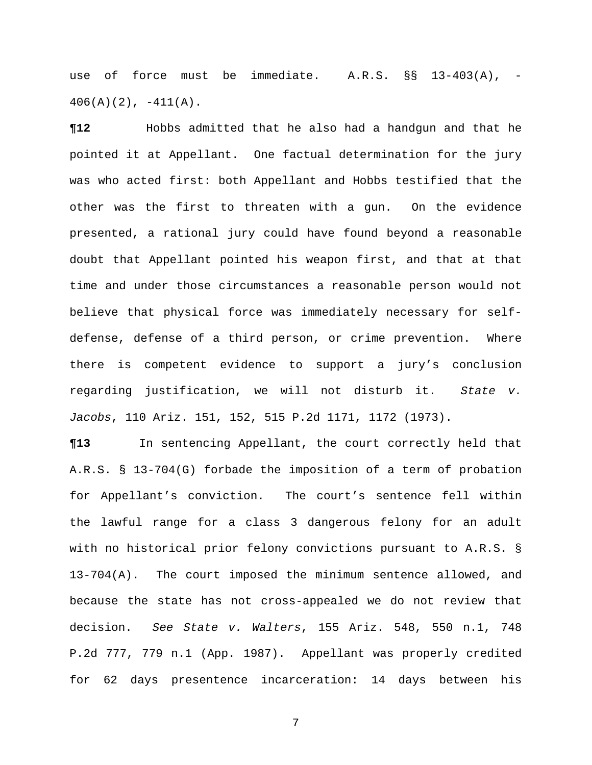use of force must be immediate. A.R.S. §§ 13-403(A), -  $406(A)(2)$ ,  $-411(A)$ .

**¶12** Hobbs admitted that he also had a handgun and that he pointed it at Appellant. One factual determination for the jury was who acted first: both Appellant and Hobbs testified that the other was the first to threaten with a gun. On the evidence presented, a rational jury could have found beyond a reasonable doubt that Appellant pointed his weapon first, and that at that time and under those circumstances a reasonable person would not believe that physical force was immediately necessary for selfdefense, defense of a third person, or crime prevention. Where there is competent evidence to support a jury's conclusion regarding justification, we will not disturb it. *State v. Jacobs*, 110 Ariz. 151, 152, 515 P.2d 1171, 1172 (1973).

**¶13** In sentencing Appellant, the court correctly held that A.R.S. § 13-704(G) forbade the imposition of a term of probation for Appellant's conviction. The court's sentence fell within the lawful range for a class 3 dangerous felony for an adult with no historical prior felony convictions pursuant to A.R.S. § 13-704(A). The court imposed the minimum sentence allowed, and because the state has not cross-appealed we do not review that decision. *See State v. Walters*, 155 Ariz. 548, 550 n.1, 748 P.2d 777, 779 n.1 (App. 1987). Appellant was properly credited for 62 days presentence incarceration: 14 days between his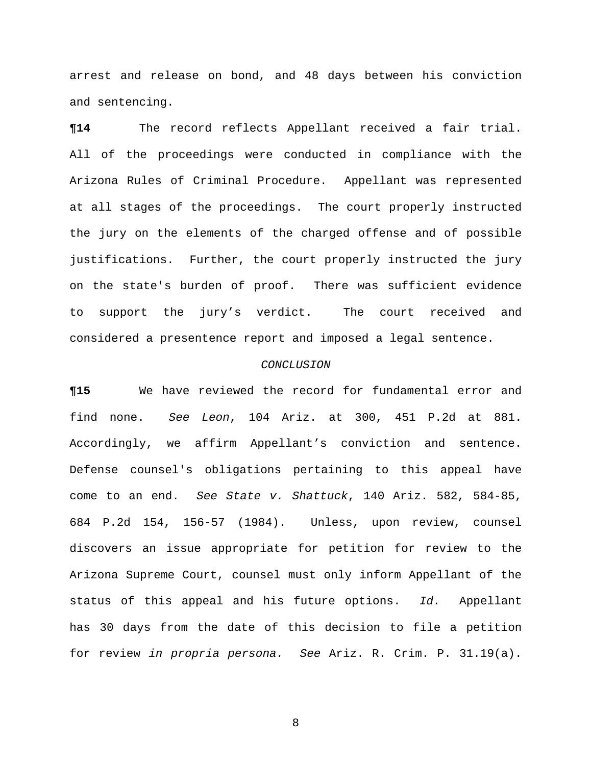arrest and release on bond, and 48 days between his conviction and sentencing.

**¶14** The record reflects Appellant received a fair trial. All of the proceedings were conducted in compliance with the Arizona Rules of Criminal Procedure. Appellant was represented at all stages of the proceedings. The court properly instructed the jury on the elements of the charged offense and of possible justifications. Further, the court properly instructed the jury on the state's burden of proof. There was sufficient evidence to support the jury's verdict. The court received and considered a presentence report and imposed a legal sentence.

## *CONCLUSION*

**¶15** We have reviewed the record for fundamental error and find none. *See Leon*, 104 Ariz. at 300, 451 P.2d at 881. Accordingly, we affirm Appellant's conviction and sentence. Defense counsel's obligations pertaining to this appeal have come to an end. *See State v. Shattuck*, 140 Ariz. 582, 584-85, 684 P.2d 154, 156-57 (1984). Unless, upon review, counsel discovers an issue appropriate for petition for review to the Arizona Supreme Court, counsel must only inform Appellant of the status of this appeal and his future options. *Id.* Appellant has 30 days from the date of this decision to file a petition for review *in propria persona. See* Ariz. R. Crim. P. 31.19(a).